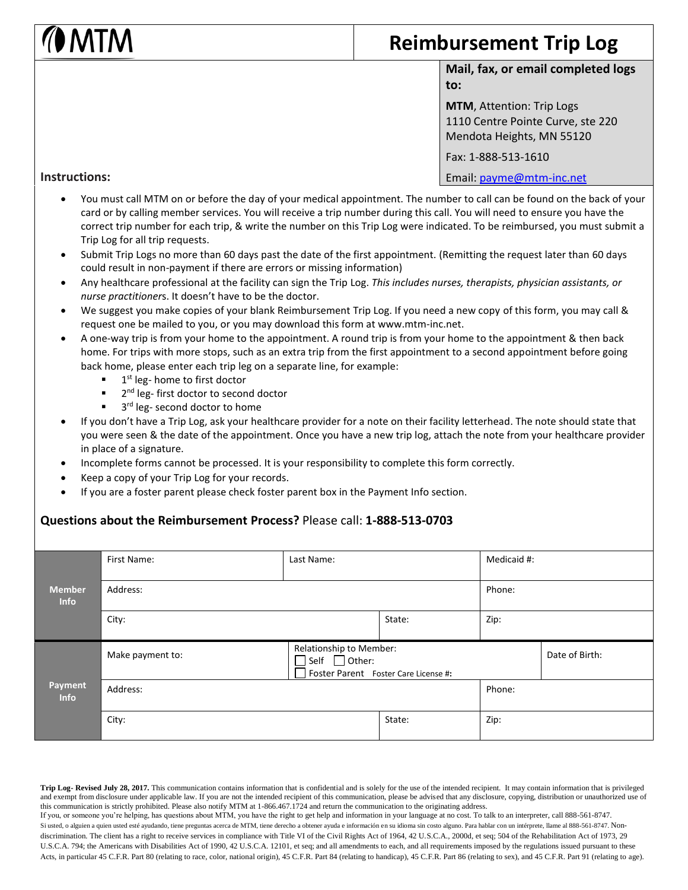## I NATM

## **Reimbursement Trip Log**

**Mail, fax, or email completed logs to:** 

**MTM**, Attention: Trip Logs 1110 Centre Pointe Curve, ste 220 Mendota Heights, MN 55120

Fax: 1-888-513-1610

## **Instructions:**

Email: [payme@mtm-inc.net](mailto:payme@mtm-inc.net)

- You must call MTM on or before the day of your medical appointment. The number to call can be found on the back of your card or by calling member services. You will receive a trip number during this call. You will need to ensure you have the correct trip number for each trip, & write the number on this Trip Log were indicated. To be reimbursed, you must submit a Trip Log for all trip requests.
- Submit Trip Logs no more than 60 days past the date of the first appointment. (Remitting the request later than 60 days could result in non-payment if there are errors or missing information)
- Any healthcare professional at the facility can sign the Trip Log. *This includes nurses, therapists, physician assistants, or nurse practitioner*s. It doesn't have to be the doctor.
- We suggest you make copies of your blank Reimbursement Trip Log. If you need a new copy of this form, you may call & request one be mailed to you, or you may download this form at www.mtm-inc.net.
- A one-way trip is from your home to the appointment. A round trip is from your home to the appointment & then back home. For trips with more stops, such as an extra trip from the first appointment to a second appointment before going back home, please enter each trip leg on a separate line, for example:
	- 1<sup>st</sup> leg- home to first doctor
	- 2<sup>nd</sup> leg- first doctor to second doctor
	- <sup>3rd</sup> leg- second doctor to home
- If you don't have a Trip Log, ask your healthcare provider for a note on their facility letterhead. The note should state that you were seen & the date of the appointment. Once you have a new trip log, attach the note from your healthcare provider in place of a signature.
- Incomplete forms cannot be processed. It is your responsibility to complete this form correctly.
- Keep a copy of your Trip Log for your records.
- If you are a foster parent please check foster parent box in the Payment Info section.

## **Questions about the Reimbursement Process?** Please call: **1-888-513-0703**

|                              | First Name:      | Last Name:                                                      |        | Medicaid #:    |        |  |
|------------------------------|------------------|-----------------------------------------------------------------|--------|----------------|--------|--|
| <b>Member</b><br><b>Info</b> | Address:         |                                                                 |        |                | Phone: |  |
|                              | City:            |                                                                 | State: | Zip:           |        |  |
|                              | Make payment to: | Relationship to Member:<br>Foster Parent Foster Care License #: |        | Date of Birth: |        |  |
| Payment<br><b>Info</b>       | Address:         |                                                                 |        |                | Phone: |  |
|                              | City:            |                                                                 | State: | Zip:           |        |  |

**Trip Log- Revised July 28, 2017.** This communication contains information that is confidential and is solely for the use of the intended recipient. It may contain information that is privileged and exempt from disclosure under applicable law. If you are not the intended recipient of this communication, please be advised that any disclosure, copying, distribution or unauthorized use of this communication is strictly prohibited. Please also notify MTM at 1-866.467.1724 and return the communication to the originating address. If you, or someone you're helping, has questions about MTM, you have the right to get help and information in your language at no cost. To talk to an interpreter, call 888-561-8747. Si usted, o alguien a quien usted esté ayudando, tiene preguntas acerca de MTM, tiene derecho a obtener ayuda e información en su idioma sin costo alguno. Para hablar con un intérprete, llame al 888-561-8747. Nondiscrimination. The client has a right to receive services in compliance with Title VI of the Civil Rights Act of 1964, 42 U.S.C.A., 2000d, et seq; 504 of the Rehabilitation Act of 1973, 29 U.S.C.A. 794; the Americans with Disabilities Act of 1990, 42 U.S.C.A. 12101, et seq; and all amendments to each, and all requirements imposed by the regulations issued pursuant to these Acts, in particular 45 C.F.R. Part 80 (relating to race, color, national origin), 45 C.F.R. Part 84 (relating to handicap), 45 C.F.R. Part 86 (relating to sex), and 45 C.F.R. Part 91 (relating to age).